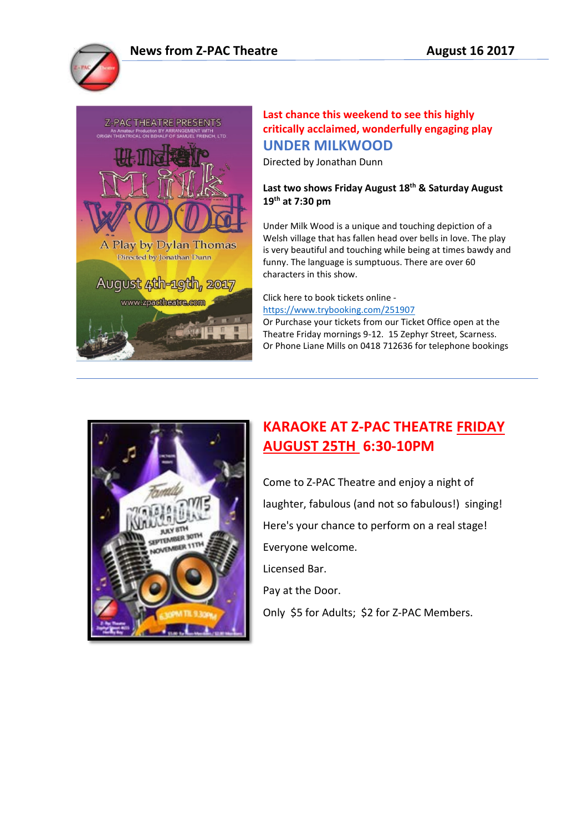

## **Last chance this weekend to see this highly critically acclaimed, wonderfully engaging play UNDER MILKWOOD**

Directed by Jonathan Dunn

**Last two shows Friday August 18th & Saturday August 19th at 7:30 pm**

Under Milk Wood is a unique and touching depiction of a Welsh village that has fallen head over bells in love. The play is very beautiful and touching while being at times bawdy and funny. The language is sumptuous. There are over 60 characters in this show.

Click here to book tickets online <https://www.trybooking.com/251907>

Or Purchase your tickets from our Ticket Office open at the Theatre Friday mornings 9-12. 15 Zephyr Street, Scarness. Or Phone Liane Mills on 0418 712636 for telephone bookings



## **KARAOKE AT Z-PAC THEATRE FRIDAY AUGUST 25TH 6:30-10PM**

Come to Z-PAC Theatre and enjoy a night of laughter, fabulous (and not so fabulous!) singing! Here's your chance to perform on a real stage! Everyone welcome. Licensed Bar.

Pay at the Door.

Only \$5 for Adults; \$2 for Z-PAC Members.